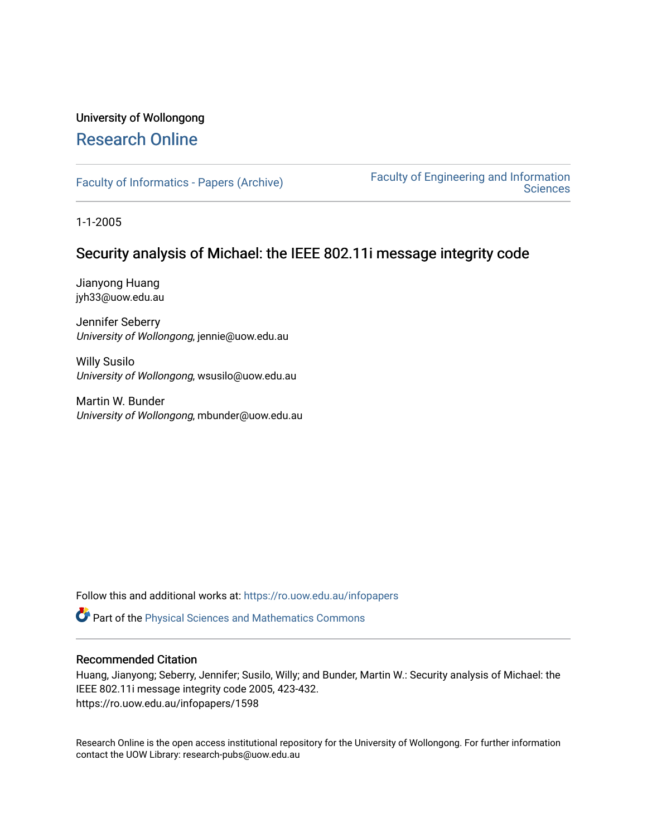# University of Wollongong [Research Online](https://ro.uow.edu.au/)

[Faculty of Informatics - Papers \(Archive\)](https://ro.uow.edu.au/infopapers) [Faculty of Engineering and Information](https://ro.uow.edu.au/eis)  **Sciences** 

1-1-2005

# Security analysis of Michael: the IEEE 802.11i message integrity code

Jianyong Huang jyh33@uow.edu.au

Jennifer Seberry University of Wollongong, jennie@uow.edu.au

Willy Susilo University of Wollongong, wsusilo@uow.edu.au

Martin W. Bunder University of Wollongong, mbunder@uow.edu.au

Follow this and additional works at: [https://ro.uow.edu.au/infopapers](https://ro.uow.edu.au/infopapers?utm_source=ro.uow.edu.au%2Finfopapers%2F1598&utm_medium=PDF&utm_campaign=PDFCoverPages)

Part of the [Physical Sciences and Mathematics Commons](http://network.bepress.com/hgg/discipline/114?utm_source=ro.uow.edu.au%2Finfopapers%2F1598&utm_medium=PDF&utm_campaign=PDFCoverPages) 

# Recommended Citation

Huang, Jianyong; Seberry, Jennifer; Susilo, Willy; and Bunder, Martin W.: Security analysis of Michael: the IEEE 802.11i message integrity code 2005, 423-432. https://ro.uow.edu.au/infopapers/1598

Research Online is the open access institutional repository for the University of Wollongong. For further information contact the UOW Library: research-pubs@uow.edu.au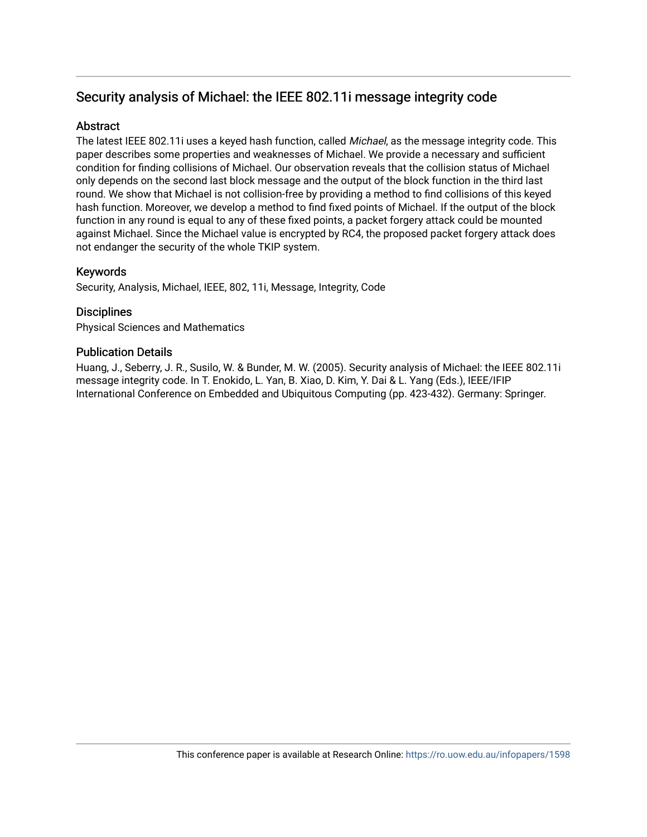# Security analysis of Michael: the IEEE 802.11i message integrity code

# **Abstract**

The latest IEEE 802.11i uses a keyed hash function, called Michael, as the message integrity code. This paper describes some properties and weaknesses of Michael. We provide a necessary and sufficient condition for finding collisions of Michael. Our observation reveals that the collision status of Michael only depends on the second last block message and the output of the block function in the third last round. We show that Michael is not collision-free by providing a method to find collisions of this keyed hash function. Moreover, we develop a method to find fixed points of Michael. If the output of the block function in any round is equal to any of these fixed points, a packet forgery attack could be mounted against Michael. Since the Michael value is encrypted by RC4, the proposed packet forgery attack does not endanger the security of the whole TKIP system.

# Keywords

Security, Analysis, Michael, IEEE, 802, 11i, Message, Integrity, Code

# **Disciplines**

Physical Sciences and Mathematics

# Publication Details

Huang, J., Seberry, J. R., Susilo, W. & Bunder, M. W. (2005). Security analysis of Michael: the IEEE 802.11i message integrity code. In T. Enokido, L. Yan, B. Xiao, D. Kim, Y. Dai & L. Yang (Eds.), IEEE/IFIP International Conference on Embedded and Ubiquitous Computing (pp. 423-432). Germany: Springer.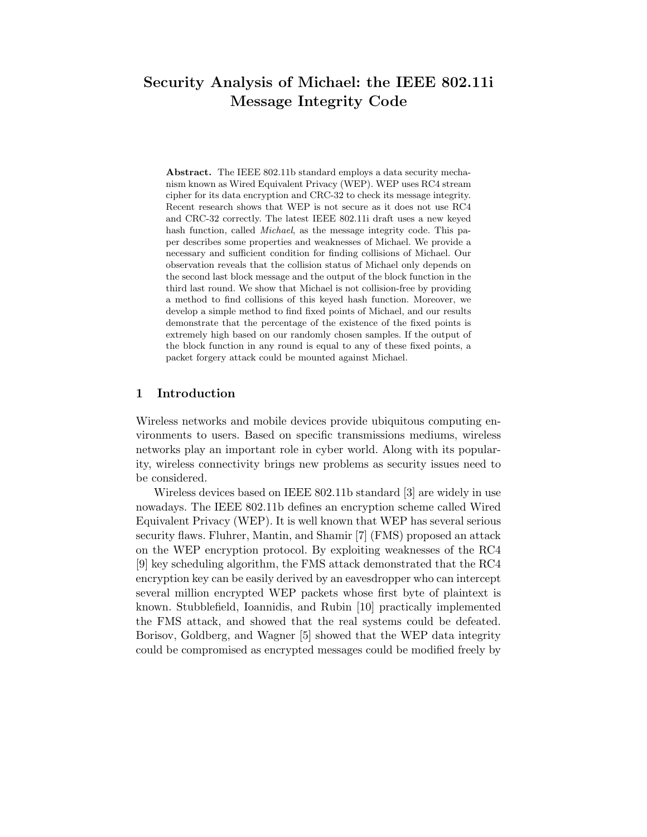# Security Analysis of Michael: the IEEE 802.11i Message Integrity Code

Abstract. The IEEE 802.11b standard employs a data security mechanism known as Wired Equivalent Privacy (WEP). WEP uses RC4 stream cipher for its data encryption and CRC-32 to check its message integrity. Recent research shows that WEP is not secure as it does not use RC4 and CRC-32 correctly. The latest IEEE 802.11i draft uses a new keyed hash function, called *Michael*, as the message integrity code. This paper describes some properties and weaknesses of Michael. We provide a necessary and sufficient condition for finding collisions of Michael. Our observation reveals that the collision status of Michael only depends on the second last block message and the output of the block function in the third last round. We show that Michael is not collision-free by providing a method to find collisions of this keyed hash function. Moreover, we develop a simple method to find fixed points of Michael, and our results demonstrate that the percentage of the existence of the fixed points is extremely high based on our randomly chosen samples. If the output of the block function in any round is equal to any of these fixed points, a packet forgery attack could be mounted against Michael.

## 1 Introduction

Wireless networks and mobile devices provide ubiquitous computing environments to users. Based on specific transmissions mediums, wireless networks play an important role in cyber world. Along with its popularity, wireless connectivity brings new problems as security issues need to be considered.

Wireless devices based on IEEE 802.11b standard [3] are widely in use nowadays. The IEEE 802.11b defines an encryption scheme called Wired Equivalent Privacy (WEP). It is well known that WEP has several serious security flaws. Fluhrer, Mantin, and Shamir [7] (FMS) proposed an attack on the WEP encryption protocol. By exploiting weaknesses of the RC4 [9] key scheduling algorithm, the FMS attack demonstrated that the RC4 encryption key can be easily derived by an eavesdropper who can intercept several million encrypted WEP packets whose first byte of plaintext is known. Stubblefield, Ioannidis, and Rubin [10] practically implemented the FMS attack, and showed that the real systems could be defeated. Borisov, Goldberg, and Wagner [5] showed that the WEP data integrity could be compromised as encrypted messages could be modified freely by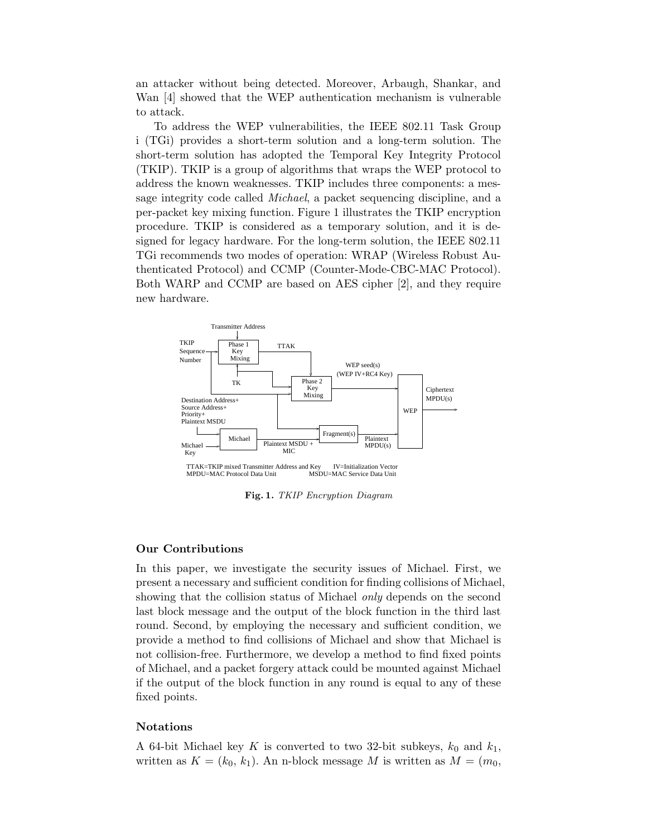an attacker without being detected. Moreover, Arbaugh, Shankar, and Wan [4] showed that the WEP authentication mechanism is vulnerable to attack.

To address the WEP vulnerabilities, the IEEE 802.11 Task Group i (TGi) provides a short-term solution and a long-term solution. The short-term solution has adopted the Temporal Key Integrity Protocol (TKIP). TKIP is a group of algorithms that wraps the WEP protocol to address the known weaknesses. TKIP includes three components: a message integrity code called Michael, a packet sequencing discipline, and a per-packet key mixing function. Figure 1 illustrates the TKIP encryption procedure. TKIP is considered as a temporary solution, and it is designed for legacy hardware. For the long-term solution, the IEEE 802.11 TGi recommends two modes of operation: WRAP (Wireless Robust Authenticated Protocol) and CCMP (Counter-Mode-CBC-MAC Protocol). Both WARP and CCMP are based on AES cipher [2], and they require new hardware.



Fig. 1. TKIP Encryption Diagram

#### Our Contributions

In this paper, we investigate the security issues of Michael. First, we present a necessary and sufficient condition for finding collisions of Michael, showing that the collision status of Michael *only* depends on the second last block message and the output of the block function in the third last round. Second, by employing the necessary and sufficient condition, we provide a method to find collisions of Michael and show that Michael is not collision-free. Furthermore, we develop a method to find fixed points of Michael, and a packet forgery attack could be mounted against Michael if the output of the block function in any round is equal to any of these fixed points.

#### Notations

A 64-bit Michael key K is converted to two 32-bit subkeys,  $k_0$  and  $k_1$ , written as  $K = (k_0, k_1)$ . An n-block message M is written as  $M = (m_0,$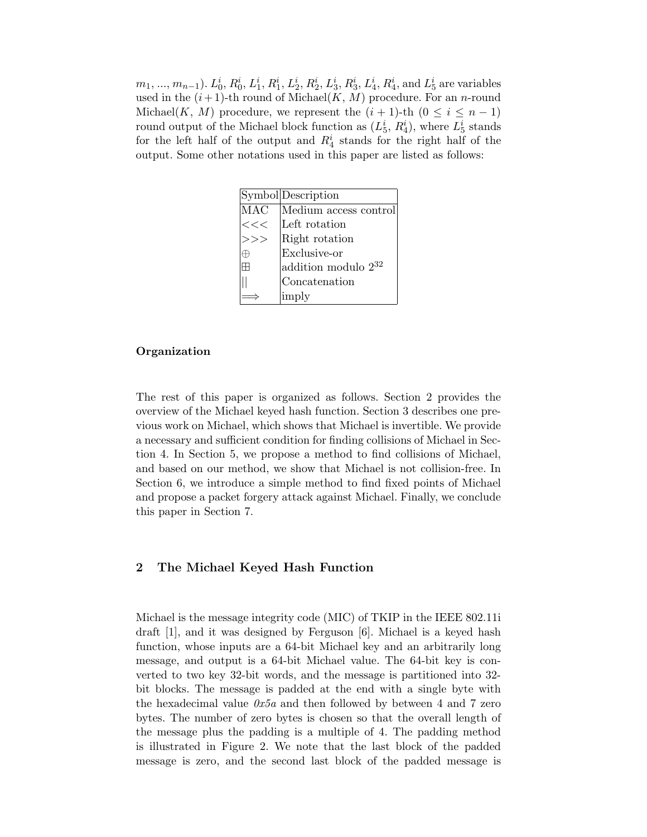$m_1, ..., m_{n-1}$ ).  $L_0^i$ ,  $R_0^i$ ,  $L_1^i$ ,  $R_1^i$ ,  $L_2^i$ ,  $R_2^i$ ,  $L_3^i$ ,  $R_3^i$ ,  $L_4^i$ ,  $R_4^i$ , and  $L_5^i$  are variables used in the  $(i+1)$ -th round of Michael $(K, M)$  procedure. For an *n*-round Michael(K, M) procedure, we represent the  $(i + 1)$ -th  $(0 \le i \le n - 1)$ round output of the Michael block function as  $(L_5^i, R_4^i)$ , where  $L_5^i$  stands for the left half of the output and  $R_4^i$  stands for the right half of the output. Some other notations used in this paper are listed as follows:

|     | Symbol Description       |
|-----|--------------------------|
| MAC | Medium access control    |
| <<  | Left rotation            |
|     | Right rotation           |
|     | Exclusive-or             |
|     | addition modulo $2^{32}$ |
|     | Concatenation            |
|     | imply                    |

### Organization

The rest of this paper is organized as follows. Section 2 provides the overview of the Michael keyed hash function. Section 3 describes one previous work on Michael, which shows that Michael is invertible. We provide a necessary and sufficient condition for finding collisions of Michael in Section 4. In Section 5, we propose a method to find collisions of Michael, and based on our method, we show that Michael is not collision-free. In Section 6, we introduce a simple method to find fixed points of Michael and propose a packet forgery attack against Michael. Finally, we conclude this paper in Section 7.

## 2 The Michael Keyed Hash Function

Michael is the message integrity code (MIC) of TKIP in the IEEE 802.11i draft [1], and it was designed by Ferguson [6]. Michael is a keyed hash function, whose inputs are a 64-bit Michael key and an arbitrarily long message, and output is a 64-bit Michael value. The 64-bit key is converted to two key 32-bit words, and the message is partitioned into 32 bit blocks. The message is padded at the end with a single byte with the hexadecimal value  $0x5a$  and then followed by between 4 and 7 zero bytes. The number of zero bytes is chosen so that the overall length of the message plus the padding is a multiple of 4. The padding method is illustrated in Figure 2. We note that the last block of the padded message is zero, and the second last block of the padded message is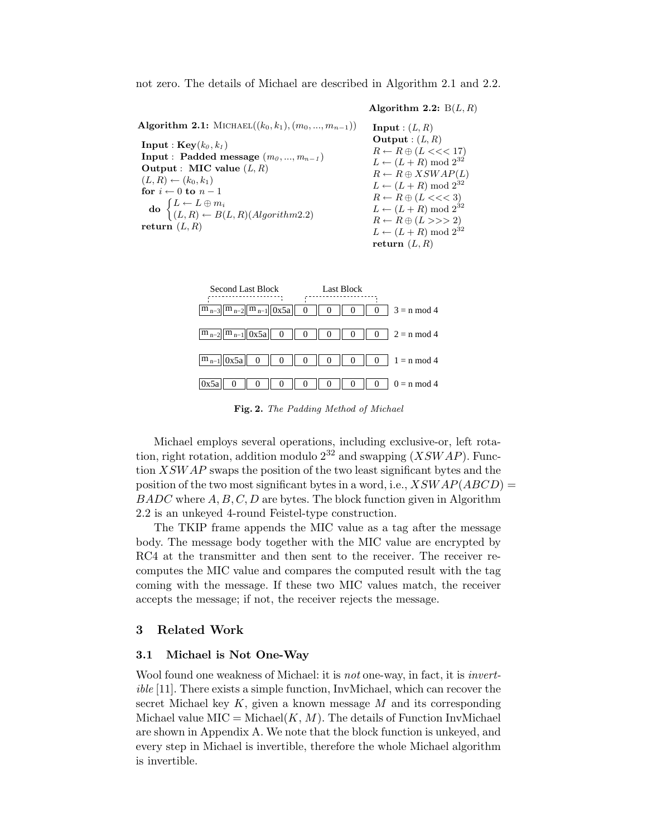not zero. The details of Michael are described in Algorithm 2.1 and 2.2.

Algorithm 2.2:  $B(L, R)$ 

Algorithm 2.1: MICHAEL $((k_0, k_1), (m_0, ..., m_{n-1}))$ **Input** :  $\mathbf{Key}(k_0, k_1)$ Input : Padded message  $(m_0, ..., m_{n-1})$ Output : MIC value  $(L, R)$  $(L, R) \leftarrow (k_0, k_1)$ for  $i \leftarrow 0$  to  $n-1$  $\mathbf{d}\mathbf{o} \begin{cases} L \leftarrow L \oplus m_i \\ (L, D) \oplus R(i) \end{cases}$  $(L, R) \leftarrow B(L, R)(Algorithm 2.2)$ return  $(L, R)$ **Input** :  $(L, R)$ Output :  $(L, R)$  $R \leftarrow R \oplus (L \ll 17)$  $L \leftarrow (L + R) \text{ mod } 2^{32}$  $R \leftarrow R \oplus XSWAP(L)$  $L \leftarrow (L+R) \text{ mod } 2^{32}$  $R \leftarrow R \oplus (L \ll 3)$  $L \leftarrow (L + R) \text{ mod } 2^{32}$  $R \leftarrow R \oplus (L \gg 2)$  $L \leftarrow (L + R) \text{ mod } 2^{32}$ return  $(L, R)$ 



Fig. 2. The Padding Method of Michael

Michael employs several operations, including exclusive-or, left rotation, right rotation, addition modulo  $2^{32}$  and swapping  $(XSWAP)$ . Function XSWAP swaps the position of the two least significant bytes and the position of the two most significant bytes in a word, i.e.,  $XSWAP(ABCD) =$  $BADC$  where  $A, B, C, D$  are bytes. The block function given in Algorithm 2.2 is an unkeyed 4-round Feistel-type construction.

The TKIP frame appends the MIC value as a tag after the message body. The message body together with the MIC value are encrypted by RC4 at the transmitter and then sent to the receiver. The receiver recomputes the MIC value and compares the computed result with the tag coming with the message. If these two MIC values match, the receiver accepts the message; if not, the receiver rejects the message.

#### 3 Related Work

#### 3.1 Michael is Not One-Way

Wool found one weakness of Michael: it is *not* one-way, in fact, it is *invert*ible [11]. There exists a simple function, InvMichael, which can recover the secret Michael key  $K$ , given a known message  $M$  and its corresponding Michael value  $MIC = Michael(K, M)$ . The details of Function InvMichael are shown in Appendix A. We note that the block function is unkeyed, and every step in Michael is invertible, therefore the whole Michael algorithm is invertible.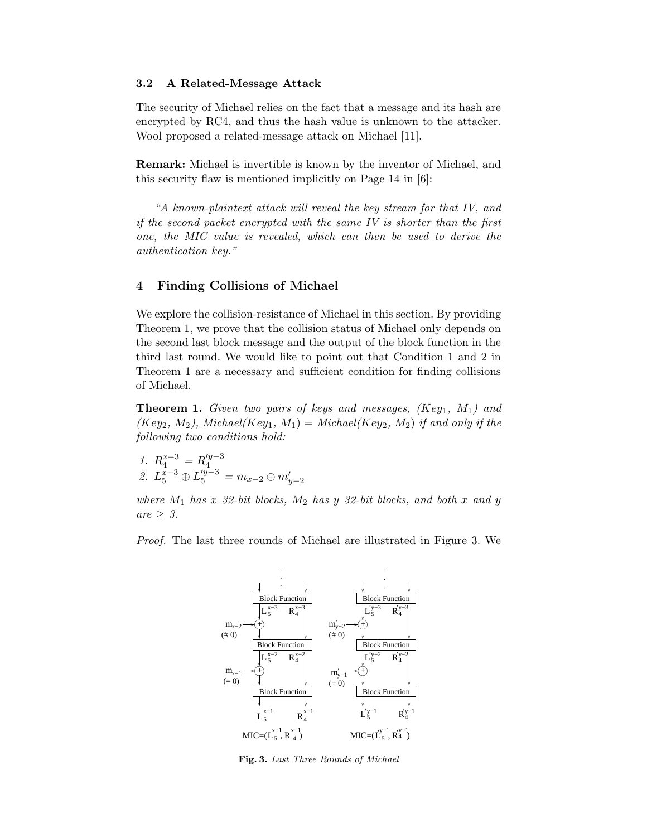#### 3.2 A Related-Message Attack

The security of Michael relies on the fact that a message and its hash are encrypted by RC4, and thus the hash value is unknown to the attacker. Wool proposed a related-message attack on Michael [11].

Remark: Michael is invertible is known by the inventor of Michael, and this security flaw is mentioned implicitly on Page 14 in [6]:

"A known-plaintext attack will reveal the key stream for that IV, and if the second packet encrypted with the same IV is shorter than the first one, the MIC value is revealed, which can then be used to derive the authentication key."

### 4 Finding Collisions of Michael

We explore the collision-resistance of Michael in this section. By providing Theorem 1, we prove that the collision status of Michael only depends on the second last block message and the output of the block function in the third last round. We would like to point out that Condition 1 and 2 in Theorem 1 are a necessary and sufficient condition for finding collisions of Michael.

**Theorem 1.** Given two pairs of keys and messages,  $(Key_1, M_1)$  and  $(Key_2, M_2)$ , Michael $(Key_1, M_1) = Michael(Key_2, M_2)$  if and only if the following two conditions hold:

1.  $R_4^{x-3} = R_4'^{y-3}$ 4 2.  $L_5^{\overline{x}-3} \oplus L_5'^{\overline{y}-3} = m_{x-2} \oplus m'_{y-2}$ 

where  $M_1$  has x 32-bit blocks,  $M_2$  has y 32-bit blocks, and both x and y are  $\geq 3$ .

Proof. The last three rounds of Michael are illustrated in Figure 3. We



Fig. 3. Last Three Rounds of Michael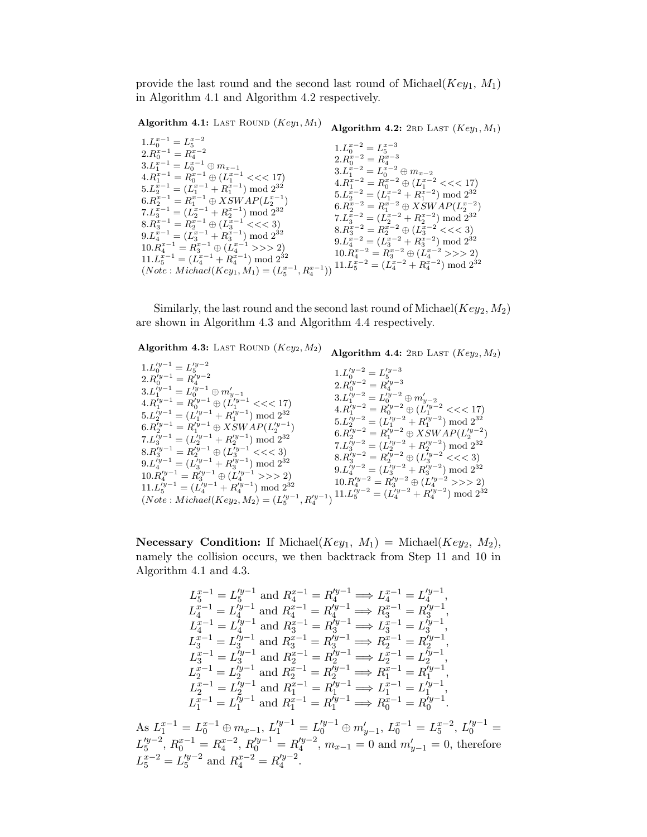provide the last round and the second last round of Michael( $Key_1$ ,  $M_1$ ) in Algorithm 4.1 and Algorithm 4.2 respectively.

Algorithm 4.1: LAST ROUND  $(Key<sub>1</sub>, M<sub>1</sub>)$ Algorithm 4.2:  $2RD$  LAST  $(Key_1, M_1)$ 

| $1.L_0^{x-1} = L_5^{x-2}$                                                                                                                                           | $1.L_0^{x-2}=L_5^{x-3}$                              |
|---------------------------------------------------------------------------------------------------------------------------------------------------------------------|------------------------------------------------------|
| $2.R_0^{x-1} = R_4^{x-2}$                                                                                                                                           |                                                      |
| $3.L_1^{x-1} = L_0^{x-1} \oplus m_{x-1}$                                                                                                                            | $2.R_0^{x-2} = R_4^{x-3}$                            |
| $4.R_1^{x-1} = R_0^{x-1} \oplus (L_1^{x-1} \ll 17)$                                                                                                                 | $3.L_1^{x-2}=L_0^{x-2}\oplus m_{x-2}$                |
| $5.L_2^{x-1} = (L_1^{x-1} + R_1^{x-1}) \bmod 2^{32}$                                                                                                                | $4.R_1^{x-2} = R_0^{x-2} \oplus (L_1^{x-2} \ll 17)$  |
| $6.R_2^{x-1} = R_1^{x-1} \oplus XSWAP(L_2^{x-1})$                                                                                                                   | $5.L_2^{x-2} = (L_1^{x-2} + R_1^{x-2}) \bmod 2^{32}$ |
| $7.L_3^{x-1} = (L_2^{x-1} + R_2^{x-1}) \bmod 2^{32}$                                                                                                                | $6.R_2^{x-2} = R_1^{x-2} \oplus XSWAP(L_2^{x-2})$    |
| $8.R_3^{x-1} = R_2^{x-1} \oplus (L_3^{x-1} \ll \ll 3)$                                                                                                              | $7.L_3^{x-2} = (L_2^{x-2} + R_2^{x-2}) \bmod 2^{32}$ |
|                                                                                                                                                                     | $8.R_3^{x-2} = R_2^{x-2} \oplus (L_3^{x-2} << 3)$    |
| $9.L_4^{x-1} = (L_3^{x-1} + R_3^{x-1}) \bmod 2^{32}$                                                                                                                | $9.L_4^{x-2} = (L_3^{x-2} + R_3^{x-2}) \bmod 2^{32}$ |
| $10.R_4^{x-1} = R_3^{x-1} \oplus (L_4^{x-1} >> 2)$                                                                                                                  | $10.R_4^{x-2} = R_3^{x-2} \oplus (L_4^{x-2} >> 2)$   |
| $11.L_5^{x-1} = (L_4^{x-1} + R_4^{x-1}) \bmod 2^{32}$<br>$(Note: Michael(Key1, M_1) = (L_5^{x-1}, R_4^{x-1}))$ $11.L_5^{x-2} = (L_4^{x-2} + R_4^{x-2}) \mod 2^{32}$ |                                                      |
|                                                                                                                                                                     |                                                      |

Similarly, the last round and the second last round of Michael( $Key_2, M_2$ ) are shown in Algorithm 4.3 and Algorithm 4.4 respectively.

Algorithm 4.3: LAST ROUND  $(Key_2, M_2)$ 1. $L_0^{y-1} = L_5^{y-2}$ <br>
2. $R_0^{y-1} = R_4^{y-2}$ <br>
3. $L_1^{y-1} = L_0^{y-1} \oplus m_{y-1}$ <br>
4. $R_1^{y-1} = R_0^{y-1} \oplus (L_1^{y-1} < < 17)$  $5.L_2^{j_y-1} = (L_1^{j_y-1} + R_1^{j_y-1}) \bmod 2^{32}$  $6.R_2^{r_y-1} = R_1'^{y-1} \oplus XSWAP(L_2'^{y-1}) \ 7.L_3'^{y-1} = (L_2'^{y-1} + R_2'^{y-1}) \bmod 2^{32}$  $8.R_3^{'y-1} = R_2^{'y-1} \oplus (L_3^{'y-1} << 3)$  $9.L_4^{y-1} = (L_3^{y-1} + R_3^{y-1}) \bmod 2^{32}$  $10.\overline{R_4}^{\prime y-1} = \overline{R_3}^{\prime y-1} \oplus (\overline{L_4}^{\prime y-1}>>2)$  $11.L_5^{r_y-1} = (L_4^{r_y-1} + R_4^{r_y-1}) \bmod 2^{32}$  $(Note: Michael(Key_2, M_2) = (L_5'^{y-1}, R_4'^{y-1})$ Algorithm 4.4: 2RD LAST  $(Key_2, M_2)$ 1. $L_0^{y-2} = L_5^{y-3}$ <br>
2. $R_0^{y-2} = R_4^{y-3}$ <br>
3. $L_1^{y-2} = L_0^{y-2} \oplus m_{y-2}^{'}$ <br>
4. $R_1^{y-2} = R_0^{y-2} \oplus (L_1^{y-2} << 17)$  $5.L_2^{j_y-2} = (L_1^{j_y-2} + R_1^{j_y-2}) \mod 2^{32}$  $6.R_2^{r_y-2} = R_1'^{y-2} \oplus XSWAP(L_2'^{y-2}) \ 7.L_3'^{y-2} = (L_2'^{y-2} + R_2'^{y-2}) \bmod 2^{32}$  $8.R_3^{y-2} = R_2^{y-2} \oplus (L_3^{y-2} \lt \lt 3)$  $9.L_4^{y-2} = (L_3^{y-2} + R_3^{y-2}) \bmod 2^{32}$  $10 \cdot R_4^{'y-2} = R_3^{'y-2} \oplus (L_4^{'y-2} >> 2)$  $11.L_5^{\gamma_{y-2}} = (L_4^{\gamma_{y-2}} + R_4^{\gamma_{y-2}}) \bmod 2^{32}$ 

**Necessary Condition:** If Michael( $Key_1$ ,  $M_1$ ) = Michael( $Key_2$ ,  $M_2$ ), namely the collision occurs, we then backtrack from Step 11 and 10 in Algorithm 4.1 and 4.3.

$$
\begin{array}{l} L_{5}^{x-1}=L_{5}^{'y-1} \text{ and } R_{4}^{x-1}=R_{4}^{'y-1} \Longrightarrow L_{4}^{x-1}=L_{4}^{'y-1}, \\ L_{4}^{x-1}=L_{4}^{'y-1} \text{ and } R_{4}^{x-1}=R_{4}^{'y-1} \Longrightarrow R_{3}^{x-1}=R_{3}^{'y-1}, \\ L_{4}^{x-1}=L_{4}^{'y-1} \text{ and } R_{3}^{x-1}=R_{3}^{'y-1} \Longrightarrow L_{3}^{x-1}=L_{3}^{'y-1}, \\ L_{3}^{x-1}=L_{3}^{'y-1} \text{ and } R_{3}^{x-1}=R_{3}^{'y-1} \Longrightarrow R_{2}^{x-1}=R_{2}^{'y-1}, \\ L_{3}^{x-1}=L_{3}^{'y-1} \text{ and } R_{2}^{x-1}=R_{2}^{'y-1} \Longrightarrow L_{2}^{x-1}=L_{2}^{'y-1}, \\ L_{2}^{x-1}=L_{2}^{'y-1} \text{ and } R_{2}^{x-1}=R_{2}^{'y-1} \Longrightarrow R_{1}^{x-1}=R_{1}^{'y-1}, \\ L_{2}^{x-1}=L_{2}^{'y-1} \text{ and } R_{1}^{x-1}=R_{1}^{'y-1} \Longrightarrow L_{1}^{x-1}=L_{1}^{'y-1}, \\ L_{1}^{x-1}=L_{1}^{'y-1} \text{ and } R_{1}^{x-1}=R_{1}^{'y-1} \Longrightarrow L_{1}^{x-1}=L_{1}^{'y-1}, \\ L_{1}^{x-1}=L_{1}^{'y-1} \text{ and } R_{1}^{x-1}=R_{1}^{'y-1} \Longrightarrow R_{0}^{x-1}=R_{0}^{'y-1}. \end{array}
$$

As  $L_1^{x-1} = L_0^{x-1} \oplus m_{x-1}, L_1'^{y-1} = L_0'^{y-1} \oplus m'_{y-1}, L_0^{x-1} = L_5^{x-2}, L_0'^{y-1} =$  $L_5^{\prime y-2}$  $S_5^{y-2}$ ,  $R_0^{x-1} = R_4^{x-2}$ ,  $R_0^{y-1} = R_4^{y-2}$  $\frac{dy-2}{4}$ ,  $m_{x-1} = 0$  and  $m'_{y-1} = 0$ , therefore  $L_5^{x-2} = L_5'^{y-2}$  $\int_5^{y-2}$  and  $R_4^{x-2} = R_4'^{y-2}$  $\frac{q-2}{4}$ .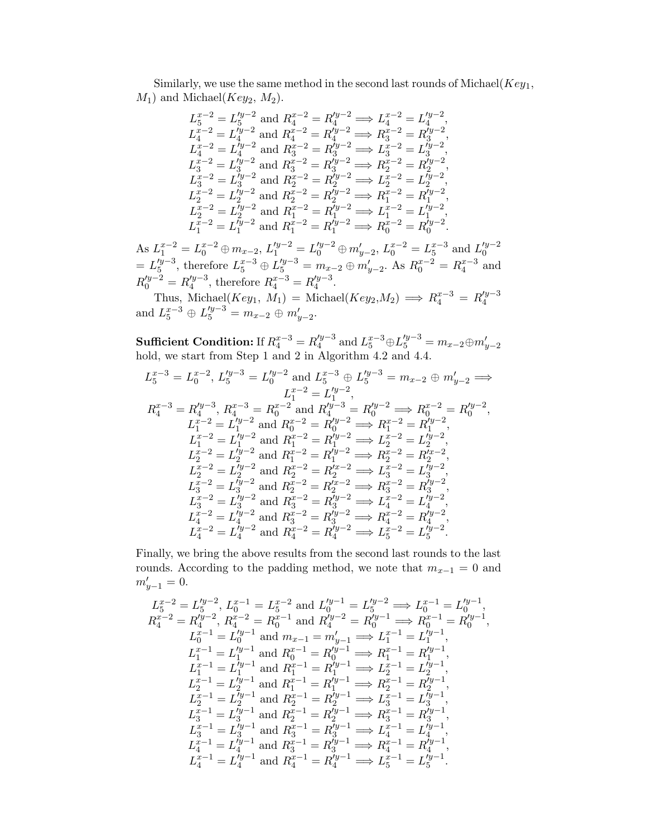Similarly, we use the same method in the second last rounds of Michael( $Key_1$ ,  $M_1$ ) and Michael( $Key_2$ ,  $M_2$ ).

$$
L_5^{x-2} = L_5'^{y-2} \text{ and } R_4^{x-2} = R_4'^{y-2} \implies L_4^{x-2} = L_4'^{y-2},
$$
  
\n
$$
L_4^{x-2} = L_4'^{y-2} \text{ and } R_4^{x-2} = R_4'^{y-2} \implies R_3^{x-2} = R_3'^{y-2},
$$
  
\n
$$
L_4^{x-2} = L_4'^{y-2} \text{ and } R_3^{x-2} = R_3'^{y-2} \implies L_3^{x-2} = L_3'^{y-2},
$$
  
\n
$$
L_3^{x-2} = L_3'^{y-2} \text{ and } R_3^{x-2} = R_3'^{y-2} \implies R_2^{x-2} = R_2'^{y-2},
$$
  
\n
$$
L_3^{x-2} = L_3'^{y-2} \text{ and } R_2^{x-2} = R_2'^{y-2} \implies L_2^{x-2} = L_2'^{y-2},
$$
  
\n
$$
L_2^{x-2} = L_2'^{y-2} \text{ and } R_2^{x-2} = R_2'^{y-2} \implies R_1^{x-2} = R_1'^{y-2},
$$
  
\n
$$
L_2^{x-2} = L_2'^{y-2} \text{ and } R_1^{x-2} = R_2'^{y-2} \implies L_1^{x-2} = L_1'^{y-2},
$$
  
\n
$$
L_1^{x-2} = L_1'^{y-2} \text{ and } R_1^{x-2} = R_1'^{y-2} \implies L_1^{x-2} = L_1'^{y-2},
$$
  
\n
$$
L_1^{x-2} = L_1'^{y-2} \text{ and } R_1^{x-2} = R_1'^{y-2} \implies L_1^{x-2} = L_1'^{y-2}.
$$

As  $L_1^{x-2} = L_0^{x-2} \oplus m_{x-2}$ ,  $L_1'^{y-2} = L_0'^{y-2} \oplus m'_{y-2}$ ,  $L_0^{x-2} = L_5^{x-3}$  and  $L_0'^{y-2}$ 0  $= L_{5}^{\nu y-3}$  $\frac{f_y-3}{5}$ , therefore  $L_5^{x-3} \oplus L_5'^{y-3} = m_{x-2} \oplus m_{y-2}'$ . As  $R_0^{x-2} = R_4^{x-3}$  and  $R_0^{y-2} = R_4^{y-3}$  $\mu_4^{y-3}$ , therefore  $R_4^{x-3} = R_4'^{y-3}$  $\frac{ry-3}{4}$ .

Thus, Michael(Key<sub>1</sub>, M<sub>1</sub>) = Michael(Key<sub>2</sub>,M<sub>2</sub>)  $\implies R_4^{x-3} = R_4'^{y-3}$ 4 and  $L_5^{x-3} \oplus L_5'^{y-3} = m_{x-2} \oplus m_{y-2}'.$ 

Sufficient Condition: If  $R^{x-3}_4=R^{\prime y-3}_4$  $a_4^{y-3}$  and  $L_5^{x-3} \oplus L_5'^{y-3} = m_{x-2} \oplus m'_{y-2}$ hold, we start from Step 1 and 2 in Algorithm 4.2 and 4.4.

$$
L_5^{x-3} = L_0^{x-2}, L_5'^{y-3} = L_0'^{y-2} \text{ and } L_5^{x-3} \oplus L_5'^{y-3} = m_{x-2} \oplus m'_{y-2} \Longrightarrow
$$
  
\n
$$
L_4^{x-3} = R_4'^{y-3}, R_4^{x-3} = R_0^{x-2} \text{ and } R_4'^{y-3} = R_0'^{y-2} \Longrightarrow R_0^{x-2} = R_0'^{y-2},
$$
  
\n
$$
L_1^{x-2} = L_1'^{y-2} \text{ and } R_0^{x-2} = R_0'^{y-2} \Longrightarrow R_1^{x-2} = R_1'^{y-2},
$$
  
\n
$$
L_1^{x-2} = L_1'^{y-2} \text{ and } R_1^{x-2} = R_1'^{y-2} \Longrightarrow L_2^{x-2} = L_2'^{y-2},
$$
  
\n
$$
L_2^{x-2} = L_2'^{y-2} \text{ and } R_1^{x-2} = R_1'^{y-2} \Longrightarrow R_2^{x-2} = R_2'^{x-2},
$$
  
\n
$$
L_2^{x-2} = L_2'^{y-2} \text{ and } R_2^{x-2} = R_2'^{x-2} \Longrightarrow L_3^{x-2} = L_3'^{y-2},
$$
  
\n
$$
L_3^{x-2} = L_3'^{y-2} \text{ and } R_2^{x-2} = R_2'^{x-2} \Longrightarrow R_3^{x-2} = R_3'^{y-2},
$$
  
\n
$$
L_3^{x-2} = L_3'^{y-2} \text{ and } R_3^{x-2} = R_3'^{y-2} \Longrightarrow L_4^{x-2} = L_4'^{y-2},
$$
  
\n
$$
L_4^{x-2} = L_4'^{y-2} \text{ and } R_3^{x-2} = R_3'^{y-2} \Longrightarrow L_4^{x-2} = L_4'^{y-2},
$$
  
\n
$$
L_4^{x-2} = L_4'^{y-2} \text{ and } R_4^{x-2} = R_4'^{y-2} \Longrightarrow L_4^{x-2} = L_4'^{y-2}.
$$

Finally, we bring the above results from the second last rounds to the last rounds. According to the padding method, we note that  $m_{x-1} = 0$  and  $m_{y-1}' = 0.$ 

$$
L_5^{x-2} = L_5'^{y-2}, L_0^{x-1} = L_5^{x-2} \text{ and } L_0'^{y-1} = L_5'^{y-2} \implies L_0^{x-1} = L_0'^{y-1},
$$
  
\n
$$
R_4^{x-2} = R_4'^{y-2}, R_4^{x-2} = R_0^{x-1} \text{ and } R_4'^{y-2} = R_0'^{y-1} \implies R_0^{x-1} = R_0'^{y-1},
$$
  
\n
$$
L_0^{x-1} = L_0'^{y-1} \text{ and } R_{x-1} = m_{y-1}' \implies L_1^{x-1} = L_1'^{y-1},
$$
  
\n
$$
L_1^{x-1} = L_1'^{y-1} \text{ and } R_0^{x-1} = R_0'^{y-1} \implies R_1^{x-1} = R_1'^{y-1},
$$
  
\n
$$
L_1^{x-1} = L_1'^{y-1} \text{ and } R_1^{x-1} = R_1'^{y-1} \implies L_2^{x-1} = L_2'^{y-1},
$$
  
\n
$$
L_2^{x-1} = L_2'^{y-1} \text{ and } R_1^{x-1} = R_1'^{y-1} \implies R_2^{x-1} = R_2'^{y-1},
$$
  
\n
$$
L_2^{x-1} = L_2'^{y-1} \text{ and } R_2^{x-1} = R_2'^{y-1} \implies L_3^{x-1} = L_3'^{y-1},
$$
  
\n
$$
L_3^{x-1} = L_3'^{y-1} \text{ and } R_3^{x-1} = R_2'^{y-1} \implies R_3^{x-1} = R_3'^{y-1},
$$
  
\n
$$
L_3^{x-1} = L_3'^{y-1} \text{ and } R_3^{x-1} = R_3'^{y-1} \implies L_4^{x-1} = L_4'^{y-1},
$$
  
\n
$$
L_4^{x-1} = L_4'^{y-1} \text{ and } R_3^{x-1} = R_3'^{y-1} \implies R_4^{x-1} = R_4'^{y-1},
$$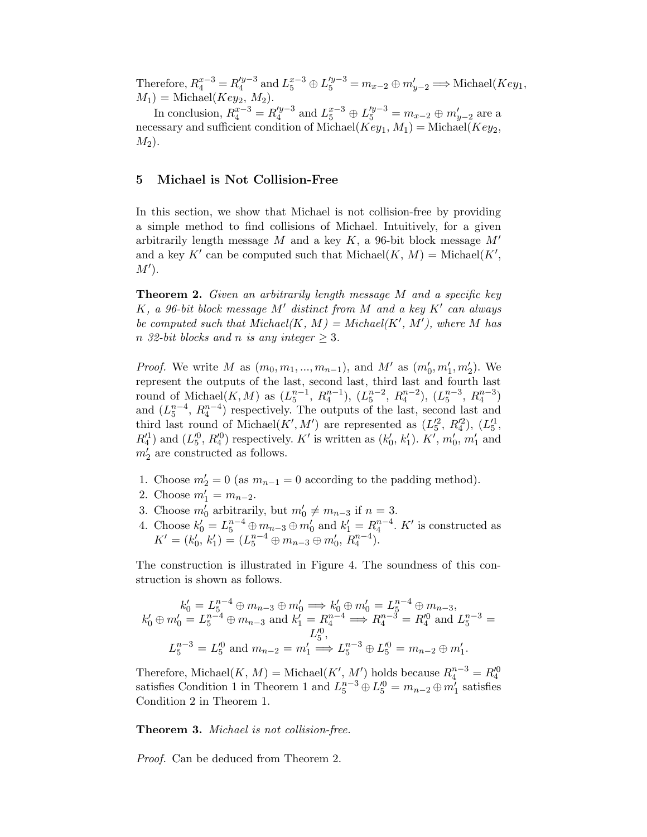Therefore,  $R_4^{x-3} = R_4'^{y-3}$  $\mu_4^{y-3}$  and  $L_5^{x-3} \oplus L_5^{y-3} = m_{x-2} \oplus m'_{y-2}$  ⇒ Michael(*Key*<sub>1</sub>,  $M_1$ ) = Michael( $Key_2$ ,  $M_2$ ).

In conclusion,  $R_4^{x-3} = R_4'^{y-3}$  $l_4^{y-3}$  and  $L_5^{x-3} \oplus L_5^{y-3} = m_{x-2} \oplus m'_{y-2}$  are a necessary and sufficient condition of Michael( $Key_1, M_1$ ) = Michael( $Key_2$ ,  $M_2$ ).

# 5 Michael is Not Collision-Free

In this section, we show that Michael is not collision-free by providing a simple method to find collisions of Michael. Intuitively, for a given arbitrarily length message  $M$  and a key  $K$ , a 96-bit block message  $M'$ and a key K' can be computed such that  $\text{Michael}(K, M) = \text{Michael}(K',$  $M^{\prime}$ ).

**Theorem 2.** Given an arbitrarily length message M and a specific key  $K$ , a 96-bit block message  $M'$  distinct from  $M$  and a key  $K'$  can always be computed such that  $\text{Michael}(K, M) = \text{Michael}(K', M')$ , where M has n 32-bit blocks and n is any integer  $\geq 3$ .

*Proof.* We write M as  $(m_0, m_1, ..., m_{n-1})$ , and M' as  $(m'_0, m'_1, m'_2)$ . We represent the outputs of the last, second last, third last and fourth last round of Michael $(K, M)$  as  $(L_5^{n-1}, R_4^{n-1}), (L_5^{n-2}, R_4^{n-2}), (L_5^{n-3}, R_4^{n-3})$ and  $(L_5^{n-4}, R_4^{n-4})$  respectively. The outputs of the last, second last and third last round of Michael $(K', M')$  are represented as  $(L_5', R_4'^2), (L_5'^1,$  $R_4^{\prime 1}$ ) and  $(L_5^{\prime 0}, R_4^{\prime 0})$  respectively. K' is written as  $(k_0^{\prime})$  $'_{0}, k'_{1}$ (1).  $K'$ ,  $m'_0$ ,  $m'_1$  and  $m_2^2$  are constructed as follows.

- 1. Choose  $m'_2 = 0$  (as  $m_{n-1} = 0$  according to the padding method).
- 2. Choose  $m_1 = m_{n-2}$ .
- 3. Choose  $m'_0$  arbitrarily, but  $m'_0 \neq m_{n-3}$  if  $n = 3$ .
- 4. Choose  $k'_0 = L_5^{n-4} \oplus m_{n-3} \oplus m'_0$  and  $k'_1 = R_4^{n-4}$ . K' is constructed as  $K' = (k_0')$  $\int_0^b k_1'$  $\Gamma_1'$  =  $(L_5^{n-4} \oplus m_{n-3} \oplus m_0', R_4^{n-4})$ .

The construction is illustrated in Figure 4. The soundness of this construction is shown as follows.

$$
k'_0 = L_5^{n-4} \oplus m_{n-3} \oplus m'_0 \Longrightarrow k'_0 \oplus m'_0 = L_5^{n-4} \oplus m_{n-3},
$$
  
\n
$$
k'_0 \oplus m'_0 = L_5^{n-4} \oplus m_{n-3} \text{ and } k'_1 = R_4^{n-4} \Longrightarrow R_4^{n-3} = R_4^0 \text{ and } L_5^{n-3} = L_5^0,
$$
  
\n
$$
L_5^{n-3} = L_5^0 \text{ and } m_{n-2} = m'_1 \Longrightarrow L_5^{n-3} \oplus L_5^0 = m_{n-2} \oplus m'_1.
$$

Therefore, Michael $(K, M) =$ Michael $(K', M')$  holds because  $R_4^{n-3} = R_4'^0$ satisfies Condition 1 in Theorem 1 and  $L_5^{n-3} \oplus L_5^{\prime 0} = m_{n-2} \oplus m_1^{\prime}$  satisfies Condition 2 in Theorem 1.

Theorem 3. Michael is not collision-free.

Proof. Can be deduced from Theorem 2.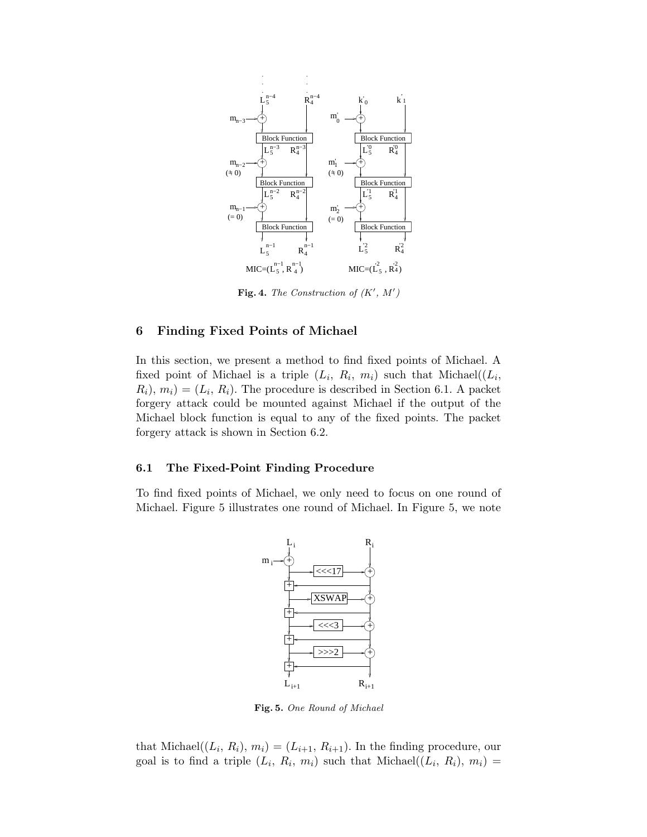

Fig. 4. The Construction of  $(K', M')$ 

### 6 Finding Fixed Points of Michael

In this section, we present a method to find fixed points of Michael. A fixed point of Michael is a triple  $(L_i, R_i, m_i)$  such that Michael $((L_i, R_i, m_i))$  $(R_i), m_i) = (L_i, R_i)$ . The procedure is described in Section 6.1. A packet forgery attack could be mounted against Michael if the output of the Michael block function is equal to any of the fixed points. The packet forgery attack is shown in Section 6.2.

#### 6.1 The Fixed-Point Finding Procedure

To find fixed points of Michael, we only need to focus on one round of Michael. Figure 5 illustrates one round of Michael. In Figure 5, we note



Fig. 5. One Round of Michael

that Michael $((L_i, R_i), m_i) = (L_{i+1}, R_{i+1})$ . In the finding procedure, our goal is to find a triple  $(L_i, R_i, m_i)$  such that Michael $((L_i, R_i), m_i)$  =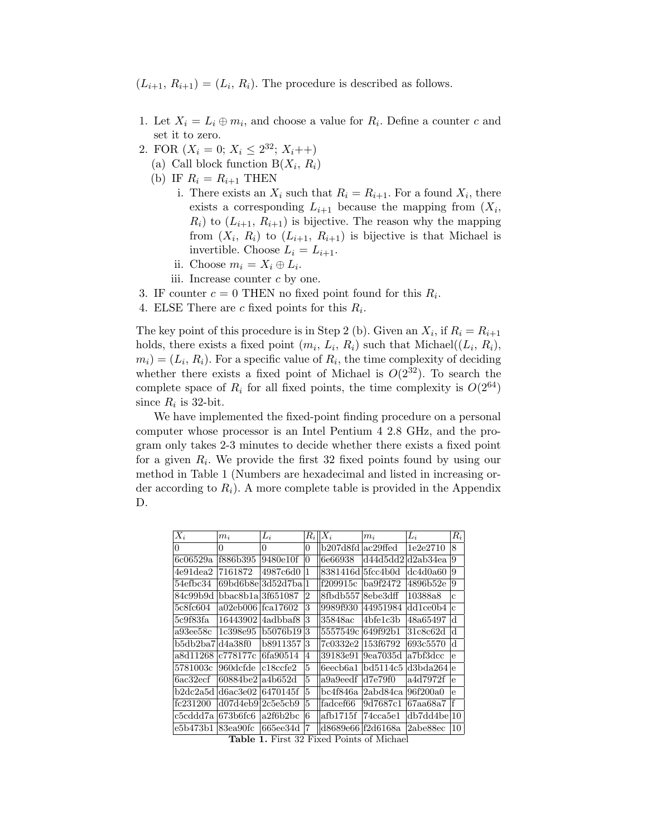$(L_{i+1}, R_{i+1}) = (L_i, R_i)$ . The procedure is described as follows.

- 1. Let  $X_i = L_i \oplus m_i$ , and choose a value for  $R_i$ . Define a counter c and set it to zero.
- 2. FOR  $(X_i = 0; X_i \leq 2^{32}; X_i + +)$ 
	- (a) Call block function  $B(X_i, R_i)$
	- (b) IF  $R_i = R_{i+1}$  THEN
		- i. There exists an  $X_i$  such that  $R_i = R_{i+1}$ . For a found  $X_i$ , there exists a corresponding  $L_{i+1}$  because the mapping from  $(X_i,$  $R_i$ ) to  $(L_{i+1}, R_{i+1})$  is bijective. The reason why the mapping from  $(X_i, R_i)$  to  $(L_{i+1}, R_{i+1})$  is bijective is that Michael is invertible. Choose  $L_i = L_{i+1}$ .
		- ii. Choose  $m_i = X_i \oplus L_i$ .
		- iii. Increase counter  $c$  by one.
- 3. IF counter  $c = 0$  THEN no fixed point found for this  $R_i$ .
- 4. ELSE There are c fixed points for this  $R_i$ .

The key point of this procedure is in Step 2 (b). Given an  $X_i$ , if  $R_i = R_{i+1}$ holds, there exists a fixed point  $(m_i, L_i, R_i)$  such that Michael $((L_i, R_i),$  $(m_i) = (L_i, R_i)$ . For a specific value of  $R_i$ , the time complexity of deciding whether there exists a fixed point of Michael is  $O(2^{32})$ . To search the complete space of  $R_i$  for all fixed points, the time complexity is  $O(2^{64})$ since  $R_i$  is 32-bit.

We have implemented the fixed-point finding procedure on a personal computer whose processor is an Intel Pentium 4 2.8 GHz, and the program only takes 2-3 minutes to decide whether there exists a fixed point for a given  $R_i$ . We provide the first 32 fixed points found by using our method in Table 1 (Numbers are hexadecimal and listed in increasing order according to  $R_i$ ). A more complete table is provided in the Appendix D.

| $X_i$                        | $m_i$     | $L_i$             | $\mathcal{R}_i$ | $X_i$              | $m_i$          | $L_i$       | $R_i$        |
|------------------------------|-----------|-------------------|-----------------|--------------------|----------------|-------------|--------------|
| 0                            | $\Omega$  | $\theta$          | $\theta$        | b207d8fd           | ac29ffed       | 1e2e2710    | 8            |
| 6c06529a                     | f886b395  | 9480e10f          | 0               | 6e66938            | d44d5dd2       | d2ab34ea    | 9            |
| $4\mathrm{e}91\mathrm{dea}2$ | 7161872   | 4987c6d0          |                 | 8381416d           | 5fcc4b0d       | dc4d0a60    | 9            |
| 54efbc34                     |           | 69bd6b8el3d52d7ba |                 | f209915c           | ba9f2472       | 4896b52e    | 9            |
| 84c99b9d                     | bbac8b1a  | 3f651087          | $\overline{2}$  | 8fbdb557           | 8ebe3dff       | 10388a8     | Ć            |
| 5c8fc604                     | a02eb006  | fca17602          | 3               | 9989f930           | 44951984       | dd1ce0b4    | $\mathbf{c}$ |
| 5c9f83fa                     | 16443902  | 4adbbaf8          | 3               | 35848ac            | 4bfe1c3b       | 48a65497    | d            |
| a93ee58c                     | 1c398e95  | b5076b19          | 3               | 5557549c           | 649f92b1       | 31c8c62d    | d            |
| b5db2ba7ld4a38f0             |           | b8911357          | 3               | 7c0332e2           | l153f6792      | 693c5570    | d            |
| a8d11268                     | c778177c  | 6fa90514          | 4               | 39183e91           | $9e$ a $7035d$ | a7bf3dcc    | e            |
| 5781003c                     | 960dcfde  | $c18c$ cfe $2$    | $\overline{5}$  | $6$ eecb $6a1$     | bd5114c5       | d3bda264    | e            |
| 6ac32ecf                     | 60884be2  | a4b652d           | 5               | a9a9eedf           | d7e79f0        | a4d7972f    | e            |
| b2dc2a5d                     | Id6ac3e02 | 6470145f          | 5               | bc4f846a           | 2abd84ca       | 96f200a0    | e            |
| fc231200                     | d07d4eb9  | 2c5efch9          | $\overline{5}$  | fadcef66           | 9d7687c1       | 67aa68a7    | f            |
| c5cddd7a                     | 1673b6fc6 | a2f6b2bc          | 6               | afb1715f           | 74cca5e1       | db7dd4bel10 |              |
| e5b473b1                     | 83ea90fc  | 665ee34d          | 7               | d8689e66 lf2d6168a |                | 2abe88ec    | 10           |

Table 1. First 32 Fixed Points of Michael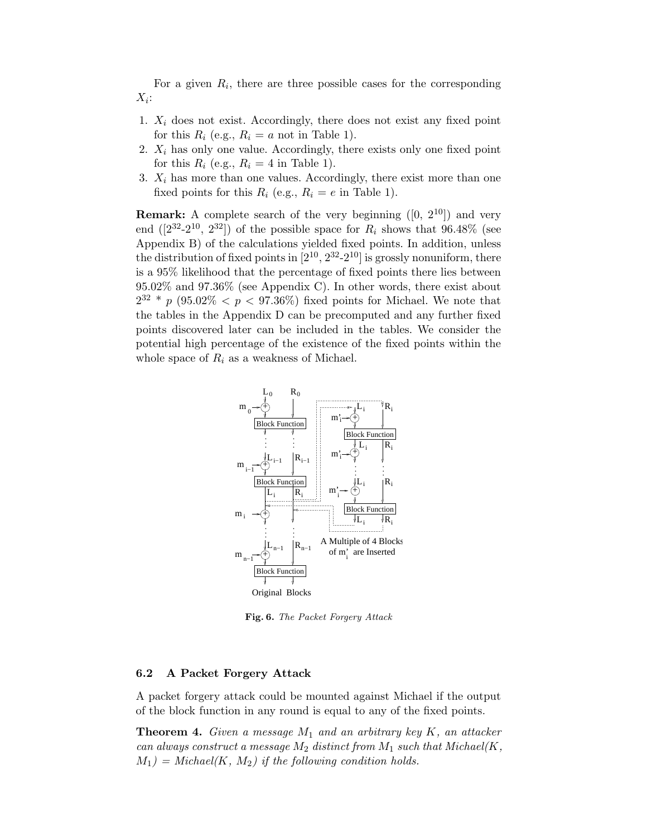For a given  $R_i$ , there are three possible cases for the corresponding  $X_i$ :

- 1.  $X_i$  does not exist. Accordingly, there does not exist any fixed point for this  $R_i$  (e.g.,  $R_i = a$  not in Table 1).
- 2.  $X_i$  has only one value. Accordingly, there exists only one fixed point for this  $R_i$  (e.g.,  $R_i = 4$  in Table 1).
- 3.  $X_i$  has more than one values. Accordingly, there exist more than one fixed points for this  $R_i$  (e.g.,  $R_i = e$  in Table 1).

**Remark:** A complete search of the very beginning  $([0, 2^{10}])$  and very end  $([2^{32}-2^{10}, 2^{32}])$  of the possible space for  $R_i$  shows that 96.48% (see Appendix B) of the calculations yielded fixed points. In addition, unless the distribution of fixed points in  $[2^{10}, 2^{32}$ - $2^{10}]$  is grossly nonuniform, there is a 95% likelihood that the percentage of fixed points there lies between 95.02% and 97.36% (see Appendix C). In other words, there exist about  $2^{32} * p$  (95.02\%  $\lt p \lt 97.36\%$ ) fixed points for Michael. We note that the tables in the Appendix D can be precomputed and any further fixed points discovered later can be included in the tables. We consider the potential high percentage of the existence of the fixed points within the whole space of  $R_i$  as a weakness of Michael.



Fig. 6. The Packet Forgery Attack

### 6.2 A Packet Forgery Attack

A packet forgery attack could be mounted against Michael if the output of the block function in any round is equal to any of the fixed points.

**Theorem 4.** Given a message  $M_1$  and an arbitrary key K, an attacker can always construct a message  $M_2$  distinct from  $M_1$  such that Michael(K,  $M_1$ ) = Michael(K, M<sub>2</sub>) if the following condition holds.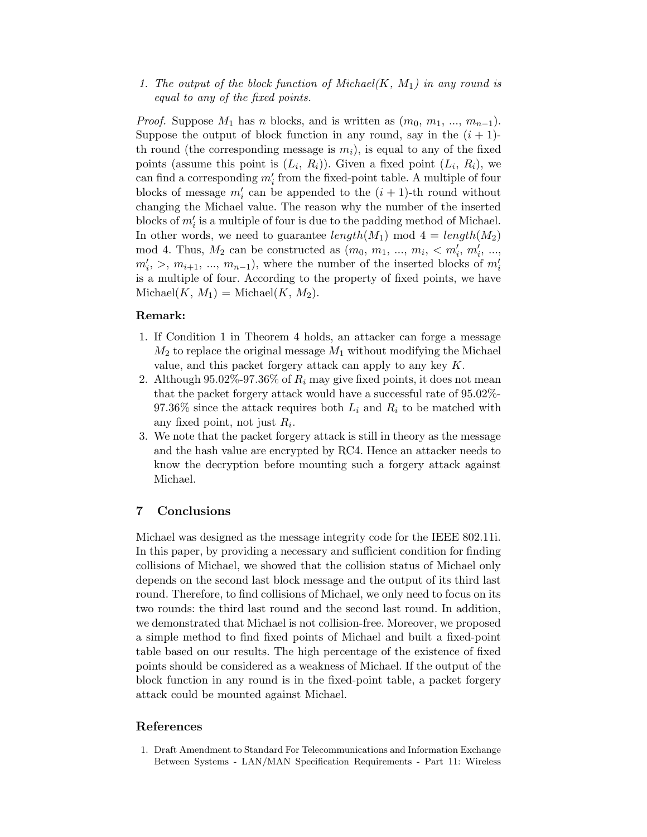1. The output of the block function of Michael $(K, M_1)$  in any round is equal to any of the fixed points.

*Proof.* Suppose  $M_1$  has n blocks, and is written as  $(m_0, m_1, ..., m_{n-1})$ . Suppose the output of block function in any round, say in the  $(i + 1)$ th round (the corresponding message is  $m_i$ ), is equal to any of the fixed points (assume this point is  $(L_i, R_i)$ ). Given a fixed point  $(L_i, R_i)$ , we can find a corresponding  $m'_i$  from the fixed-point table. A multiple of four blocks of message  $m'_i$  can be appended to the  $(i + 1)$ -th round without changing the Michael value. The reason why the number of the inserted blocks of  $m_i'$  is a multiple of four is due to the padding method of Michael. In other words, we need to guarantee  $length(M_1)$  mod  $4 = length(M_2)$ mod 4. Thus,  $M_2$  can be constructed as  $(m_0, m_1, ..., m_i, < m'_i, m'_i, ...,$  $m'_i, >, m_{i+1}, \ldots, m_{n-1}$ , where the number of the inserted blocks of  $m'_i$ is a multiple of four. According to the property of fixed points, we have  $\text{Michael}(K, M_1) = \text{Michael}(K, M_2).$ 

#### Remark:

- 1. If Condition 1 in Theorem 4 holds, an attacker can forge a message  $M_2$  to replace the original message  $M_1$  without modifying the Michael value, and this packet forgery attack can apply to any key  $K$ .
- 2. Although 95.02%-97.36% of  $R_i$  may give fixed points, it does not mean that the packet forgery attack would have a successful rate of 95.02%- 97.36% since the attack requires both  $L_i$  and  $R_i$  to be matched with any fixed point, not just  $R_i$ .
- 3. We note that the packet forgery attack is still in theory as the message and the hash value are encrypted by RC4. Hence an attacker needs to know the decryption before mounting such a forgery attack against Michael.

### 7 Conclusions

Michael was designed as the message integrity code for the IEEE 802.11i. In this paper, by providing a necessary and sufficient condition for finding collisions of Michael, we showed that the collision status of Michael only depends on the second last block message and the output of its third last round. Therefore, to find collisions of Michael, we only need to focus on its two rounds: the third last round and the second last round. In addition, we demonstrated that Michael is not collision-free. Moreover, we proposed a simple method to find fixed points of Michael and built a fixed-point table based on our results. The high percentage of the existence of fixed points should be considered as a weakness of Michael. If the output of the block function in any round is in the fixed-point table, a packet forgery attack could be mounted against Michael.

### References

1. Draft Amendment to Standard For Telecommunications and Information Exchange Between Systems - LAN/MAN Specification Requirements - Part 11: Wireless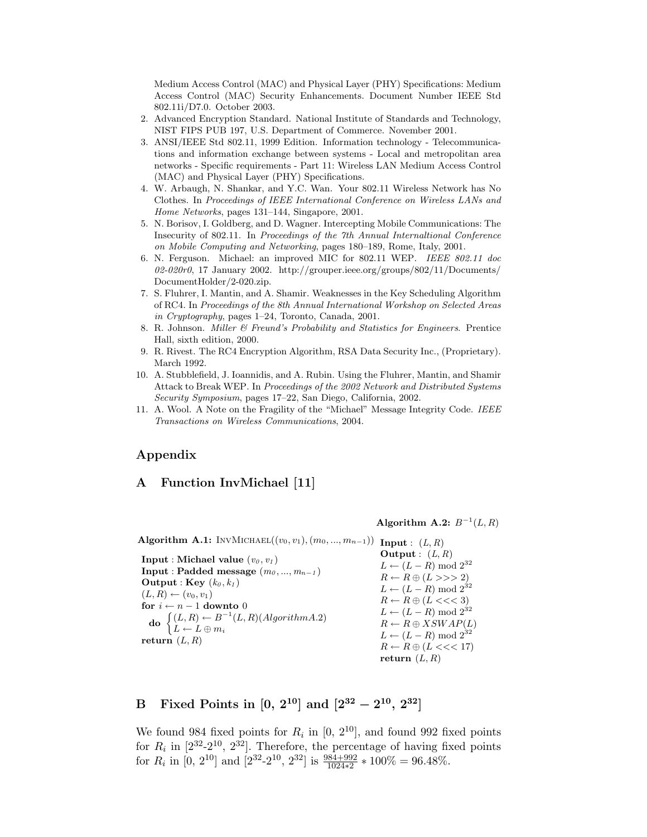Medium Access Control (MAC) and Physical Layer (PHY) Specifications: Medium Access Control (MAC) Security Enhancements. Document Number IEEE Std 802.11i/D7.0. October 2003.

- 2. Advanced Encryption Standard. National Institute of Standards and Technology, NIST FIPS PUB 197, U.S. Department of Commerce. November 2001.
- 3. ANSI/IEEE Std 802.11, 1999 Edition. Information technology Telecommunications and information exchange between systems - Local and metropolitan area networks - Specific requirements - Part 11: Wireless LAN Medium Access Control (MAC) and Physical Layer (PHY) Specifications.
- 4. W. Arbaugh, N. Shankar, and Y.C. Wan. Your 802.11 Wireless Network has No Clothes. In Proceedings of IEEE International Conference on Wireless LANs and Home Networks, pages 131–144, Singapore, 2001.
- 5. N. Borisov, I. Goldberg, and D. Wagner. Intercepting Mobile Communications: The Insecurity of 802.11. In Proceedings of the 7th Annual Internaltional Conference on Mobile Computing and Networking, pages 180–189, Rome, Italy, 2001.
- 6. N. Ferguson. Michael: an improved MIC for 802.11 WEP. IEEE 802.11 doc 02-020r0, 17 January 2002. http://grouper.ieee.org/groups/802/11/Documents/ DocumentHolder/2-020.zip.
- 7. S. Fluhrer, I. Mantin, and A. Shamir. Weaknesses in the Key Scheduling Algorithm of RC4. In Proceedings of the 8th Annual International Workshop on Selected Areas in Cryptography, pages 1–24, Toronto, Canada, 2001.
- 8. R. Johnson. Miller & Freund's Probability and Statistics for Engineers. Prentice Hall, sixth edition, 2000.
- 9. R. Rivest. The RC4 Encryption Algorithm, RSA Data Security Inc., (Proprietary). March 1992.
- 10. A. Stubblefield, J. Ioannidis, and A. Rubin. Using the Fluhrer, Mantin, and Shamir Attack to Break WEP. In Proceedings of the 2002 Network and Distributed Systems Security Symposium, pages 17–22, San Diego, California, 2002.
- 11. A. Wool. A Note on the Fragility of the "Michael" Message Integrity Code. IEEE Transactions on Wireless Communications, 2004.

## Appendix

# A Function InvMichael [11]

Algorithm A.2:  $B^{-1}(L, R)$ 

Algorithm A.1: INVMICHAEL $((v_0, v_1), (m_0, ..., m_{n-1}))$  Input :  $(L, R)$ 

**Input : Michael value**  $(v_0, v_1)$ Input : Padded message  $(m_0, ..., m_{n-1})$ **Output** : **Key**  $(k_0, k_1)$  $(L, R) \leftarrow (v_0, v_1)$ for  $i \leftarrow n - 1$  downto 0 do  $\begin{cases} (L, R) \leftarrow B^{-1}(L, R) (Algorithm A.2) \end{cases}$  $L \leftarrow L \oplus m_i$ return  $(L, R)$ Output :  $(L, R)$  $L \leftarrow (L - R) \text{ mod } 2^{32}$  $R \leftarrow R \oplus (L \gg 2)$  $L \leftarrow (L - R) \text{ mod } 2^{32}$  $R \leftarrow R \oplus (L \ll \ll 3)$  $L \leftarrow (L - R) \text{ mod } 2^{32}$  $R \leftarrow R \oplus XSWAP(L)$  $L \leftarrow (L - R) \text{ mod } 2^{32}$  $R \leftarrow R \oplus (L \ll 17)$ return  $(L, R)$ 

# B Fixed Points in  $[0, 2^{10}]$  and  $[2^{32} - 2^{10}, 2^{32}]$

We found 984 fixed points for  $R_i$  in  $[0, 2^{10}]$ , and found 992 fixed points for  $R_i$  in  $[2^{32}$ - $2^{10}$ ,  $2^{32}]$ . Therefore, the percentage of having fixed points for  $R_i$  in [0, 2<sup>10</sup>] and [2<sup>32</sup>-2<sup>10</sup>, 2<sup>32</sup>] is  $\frac{984+992}{1024*2}*100\% = 96.48\%$ .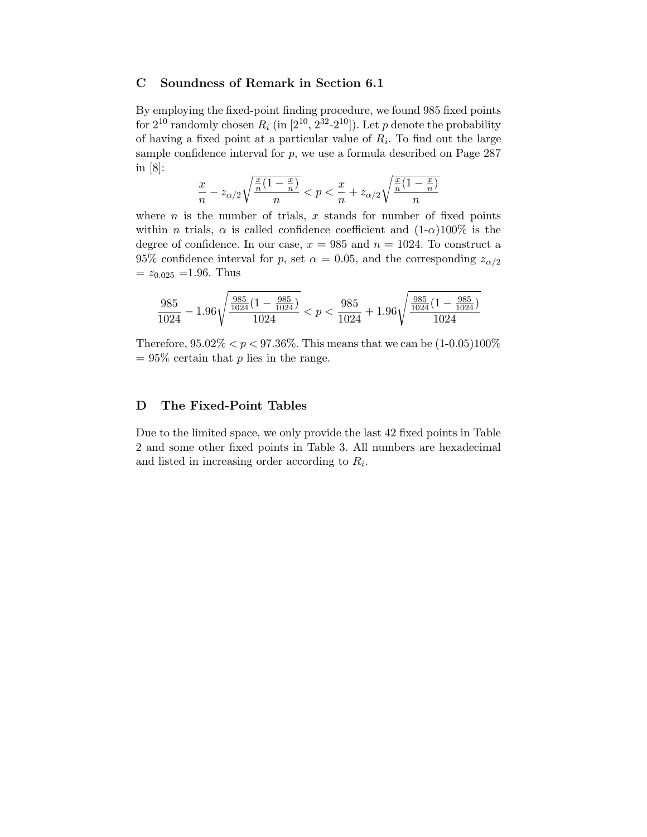## C Soundness of Remark in Section 6.1

By employing the fixed-point finding procedure, we found 985 fixed points for  $2^{10}$  randomly chosen  $R_i$  (in  $[2^{10}, 2^{32}$ - $2^{10}]$ ). Let p denote the probability of having a fixed point at a particular value of  $R_i$ . To find out the large sample confidence interval for  $p$ , we use a formula described on Page 287 in [8]:

$$
\frac{x}{n} - z_{\alpha/2} \sqrt{\frac{\frac{x}{n}(1-\frac{x}{n})}{n}} < p < \frac{x}{n} + z_{\alpha/2} \sqrt{\frac{\frac{x}{n}(1-\frac{x}{n})}{n}}
$$

where  $n$  is the number of trials,  $x$  stands for number of fixed points within *n* trials,  $\alpha$  is called confidence coefficient and  $(1-\alpha)100\%$  is the degree of confidence. In our case,  $x = 985$  and  $n = 1024$ . To construct a 95% confidence interval for p, set  $\alpha = 0.05$ , and the corresponding  $z_{\alpha/2}$  $= z_{0.025} = 1.96$ . Thus

$$
\frac{985}{1024}-1.96\sqrt{\frac{\frac{985}{1024}(1-\frac{985}{1024})}{1024}}
$$

Therefore,  $95.02\% < p < 97.36\%$ . This means that we can be  $(1-0.05)100\%$  $= 95\%$  certain that p lies in the range.

#### D The Fixed-Point Tables

Due to the limited space, we only provide the last 42 fixed points in Table 2 and some other fixed points in Table 3. All numbers are hexadecimal and listed in increasing order according to  $R_i$ .